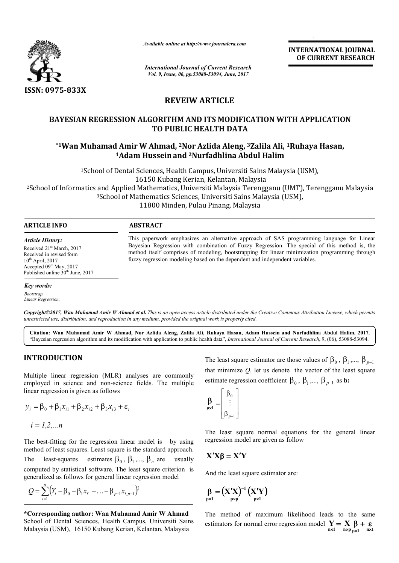

*Available online at http://www.journal http://www.journalcra.com*

**INTERNATIONAL JOURNAL OF CURRENT RESEARCH** 

*International Journal of Current Research Vol. 9, Issue, 06, pp.53088-53094, June, 2017*

# **REVEIW ARTICLE**

# **BAYESIAN REGRESSION ALGORITHM AND ITS MODIFICATION WITH APPLICATION TO PUBLIC HEALTH DATA**

# \*1Wan Muhamad Amir W Ahmad, <sup>2</sup>Nor Azlida Aleng, <sup>3</sup>Zalila Ali, <sup>1</sup>Ruhaya Hasan, **1Adam Hussein Adam Husseinand 2Nurfadhlina Abdul Halim**

<sup>1</sup>School of Dental Sciences, Health Campus, Universiti Sains Malaysia (USM), 16150 Kubang Kerian, Kelantan, Malaysia <sup>1</sup>School of Dental Sciences, Health Campus, Universiti Sains Malaysia (USM),<br>16150 Kubang Kerian, Kelantan, Malaysia<br><sup>3</sup>School of Mathematics, Universiti Malaysia Terengganu (UMT), Terengganu Malaysia<sup>3</sup>School of Mathemat 3School of Mathematics Sciences, Universiti Sains Malaysia (USM), 11800 Minden, Pulau Pinang, Malaysia

## **ARTICLE INFO ABSTRACT**

*Article History:* Received 21st March, 2017 Received in revised form  $10^{th}$  April, 2017 Accepted 09<sup>th</sup> May, 2017 Published online  $30<sup>th</sup>$  June, 2017

*Key words:*

*Bootstrap, Linear Regression.*

*Copyright©2017, Wan Muhamad Amir W Ahmad et al al. This is an open access article distributed under the Creative Commons Att is open Attribution License, which permits unrestricted use, distribution, and reproduction in any medium, provided the original work is properly cited.*

**Citation: Wan Muhamad Amir W Ahmad, Nor Azlida Aleng, Zalila Ali, Ruhaya Hasan, Adam Hussein and Nurfadhlina Abdul Halim Abdul Halim. 2017.** "Bayesian regression algorithm and its modification with application to public health data", *International Journal of Current Research*, 9, (06), 53088-53094.

# **INTRODUCTION**

Multiple linear regression (MLR) analyses are commonly employed in science and non-science fields. The multiple linear regression is given as follows

$$
y_i = \beta_0 + \beta_1 x_{i1} + \beta_2 x_{i2} + \beta_3 x_{i3} + \varepsilon_i
$$

$$
i=1,2,...n
$$

The best-fitting for the regression linear model is by using method of least squares. Least square is the standard approach. The least-squares estimates  $\beta_0$ ,  $\beta_1$ ,...,  $\beta_n$  are usually computed by statistical software. The least square criterion is generalized as follows for general linear regression model in science and non-science<br>ression is given as follows<br> $+\beta_1 x_{i1} + \beta_2 x_{i2} + \beta_3 x_{i3} + \varepsilon_i$ <br> $\beta_1, \ldots, n$ <br>fitting for the regression linear<br>fleast squares. Least square is t

$$
Q = \sum_{i=1}^{n} (Y_i - \beta_0 - \beta_1 x_{i1} - \dots - \beta_{p-1} x_{i,p-1})^2
$$

**\*Corresponding author: Wan Muhamad Amir W Ahmad** School of Dental Sciences, Health Campus, Universiti Sains Malaysia (USM), 16150 Kubang Kerian, Kelantan, Malaysia

The least square estimator are those values of  $\beta_0$ ,  $\beta_1$ ,...,  $\beta_{p-1}$ that minimize  $Q$ . let us denote the vector of the least square estimate regression coefficient  $\beta_0$ ,  $\beta_1$ ,...,  $\beta_{p-1}$  as **b:** 

$$
\mathbf{\beta}_{p\times 1} = \begin{bmatrix} \beta_0 \\ \vdots \\ \beta_{p-1} \end{bmatrix}
$$

*p*

method itself comprises of modeling, bootstrapping for linear minimizatio fuzzy regression modeling based on the dependent and independent variables.

The least square normal equations for the general linear regression model are given as follow

# $X'X\beta = X'Y$

And the least square estimator are:

This paperwork emphasizes an alternative approach of SAS programming language for Linear This paperwork emphasizes an alternative approach of SAS programming language for Linear Bayesian Regression with combination of Fuzzy Regression. The special of this method is, the method itself comprises of modeling, bootstrapping for linear minimization programming through

$$
\beta_{p\times 1} = (X'X)^{-1} (X'Y)
$$
<sub>p\times 1</sub>

The method of maximum likelihood leads to the same estimators for normal error regression model given as follow<br>estimator are:<br>')<br>ximum likelihood  $\mathbf{Y} = \mathbf{X} \mathbf{B} + \mathbf{E} \mathbf{B}$ <br>**n**×1 **n**×1 **n**×1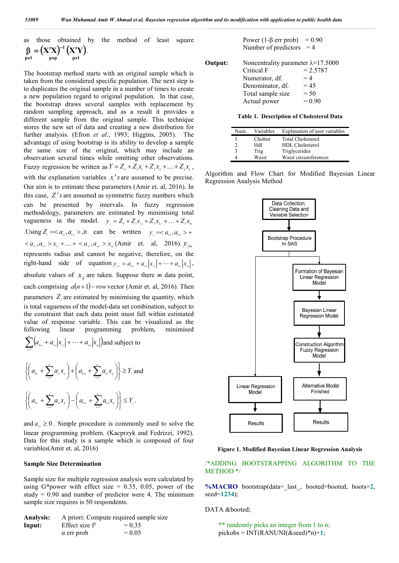as those obtained by the method of least square  
\n
$$
\beta = (X'X)^{-1} (X'Y).
$$
\n
$$
P \times I
$$

The bootstrap method starts with an original sample which is taken from the considered specific population. The next step is to duplicates the original sample in a number of times to create a new population regard to original population. In that case, the bootstrap draws several samples with replacement by random sampling approach, and as a result it provides a different sample from the original sample. This technique stores the new set of data and creating a new distribution for further analysis. (Efron *et al*., 1993; Higgins, 2005). The advantage of using bootstrap is its ability to develop a sample the same size of the original, which may include an observation several times while omitting other observations. Fuzzy regression be written as  $Y = Z_0 + Z_1 x_1 + Z_2 x_2 + ... + Z_k x_k$ , with the explanation variables  $x_i$ 's are assumed to be precise. Our aim is to estimate these parameters (Amir et. al, 2016). In this case,  $Z_i$ 's are assumed as symmetric fuzzy numbers which can be presented by intervals. In fuzzy regression methodology, parameters are estimated by minimising total vagueness in the model.  $y_j = Z_0 + Z_1 x_{1j} + Z_2 x_{2j} + ... + Z_k x_{kj}$ Using  $Z_i =  it$  can be written  $y_i =  +$  $< a_{1c}, a_{1w} > x_{1j} + \ldots + a_{nc}, a_{nv} > x_{nj}$  (Amir et. al. 2016).  $y_{jw}$ represents radius and cannot be negative, therefore, on the right-hand side of equation  $y_w = a_{0w} + a_{1w} |x_{1j}| + \cdots + a_{nw} |x_{nj}|$ , absolute values of  $x_{ij}$  are taken. Suppose there *m* data point, each comprising  $a(n+1)$ –*row* vector (Amir et. al, 2016). Then parameters  $Z_i$  are estimated by minimising the quantity, which is total vagueness of the model-data set combination, subject to the constraint that each data point must fall within estimated value of response variable. This can be visualized as the following linear programming problem, minimised  $\sum_{j=1}^{m} (a_{0w} + a_{1w} |x_{1j}| + \cdots + a_{nw} |x_{nj}|)$  and subject to  $\sum_{j=1}^{\infty} \left( a_{_{0\mathrm{w}}} + a_{_{1\mathrm{w}}} \middle| x_{_{1j}} \middle| + \cdots + a_{_{\mathrm{nw}}} \middle| x_{_{\mathrm{nw}}} \right)$  $\mathbf{I}$ 

$$
\left\{ \left( a_{0c} + \sum_{i=1}^{n} a_{ic} x_{ij} \right) + \left( a_{0w} + \sum_{i=1}^{n} a_{iw} x_{ij} \right) \right\} \ge Y_j \text{ and}
$$
  

$$
\left\{ \left( a_{0c} + \sum_{i=1}^{n} a_{iz} x_{ij} \right) - \left( a_{0w} + \sum_{i=1}^{n} a_{iw} x_{ij} \right) \right\} \le Y_j.
$$

and  $a_{i} \geq 0$ . Simple procedure is commonly used to solve the linear programming problem. (Kacprzyk and Fedrizzi, 1992). Data for this study is a sample which is composed of four variables(Amir et. al, 2016)

#### **Sample Size Determination**

Sample size for multiple regression analysis were calculated by using G\*power with effect size =  $0.35$ ,  $0.05$ , power of the study  $= 0.90$  and number of predictor were 4. The minimum sample size requires is 50 respondents.

| <b>Analysis:</b> |                   | A priori: Compute required sample size |
|------------------|-------------------|----------------------------------------|
| Input:           | Effect size $f^2$ | $= 0.35$                               |
|                  | $\alpha$ err prob | $= 0.05$                               |

Power (1- $\beta$  err prob) = 0.90 Number of predictors  $= 4$ 

| Output: | Noncentrality parameter $\lambda$ =17.5000 |            |
|---------|--------------------------------------------|------------|
|         | Critical F                                 | $= 2.5787$ |
|         | Numerator, df.                             | $=4$       |
|         | Denominator, df.                           | $= 45$     |
|         | Total sample size                          | $= 50$     |
|         | Actual power                               | $= 0.90$   |

**Table 1. Description of Cholesterol Data**

| Num.             | Variables | Explanation of user variables |
|------------------|-----------|-------------------------------|
|                  | Choltot   | <b>Total Cholesterol</b>      |
| $\overline{2}$ . | Hdl       | <b>HDL</b> Cholesterol        |
| 3                | Trig      | Triglycerides                 |
|                  | Waist     | Waist circumferences          |

Algorithm and Flow Chart for Modified Bayesian Linear Regression Analysis Method



**Figure 1. Modified Bayesian Linear Regression Analysis**

/\*ADDING BOOTSTRAPPING ALGORITHM TO THE METHOD \*/

**%MACRO** bootstrap(data=\_last\_, booted=booted, boots=**2**, seed=**1234**);

DATA &booted;

```
 ** randomly picks an integer from 1 to n;
pickses = INT(RANUNI(\&seed)*n+1;
```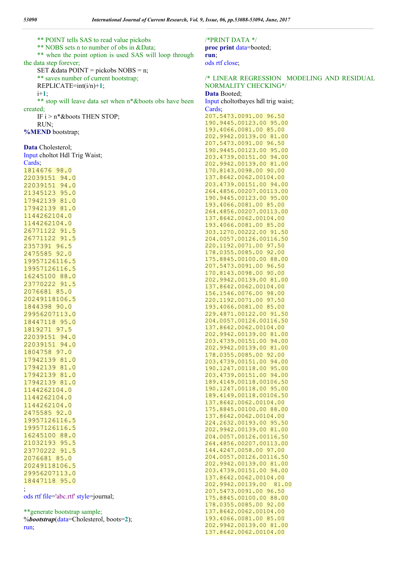\*\* POINT tells SAS to read value pickobs \*\* NOBS sets n to number of obs in &Data; \*\* when the point option is used SAS will loop through the data step forever; SET & data POINT = pickobs  $NOBS = n$ ; \*\* saves number of current bootstrap; REPLICATE=int(i/n)+**1**; i+**1**; \*\* stop will leave data set when n\*&boots obs have been created; IF  $i > n *$  & boots THEN STOP; RUN; **%MEND** bootstrap; **Data** Cholesterol; Input choltot Hdl Trig Waist; Cards; 1814676 98.0 22039151 94.0 22039151 94.0 21345123 95.0 17942139 81.0 17942139 81.0 1144262104.0 1144262104.0 26771122 91.5 26771122 91.5 2357391 96.5 2475585 92.0 19957126116.5 19957126116.5 16245100 88.0 23770222 91.5 2076681 85.0 20249118106.5 1844398 90.0 29956207113.0 18447118 95.0 1819271 97.5 22039151 94.0 22039151 94.0 1804758 97.0 17942139 81.0 17942139 81.0 17942139 81.0 17942139 81.0 1144262104.0 1144262104.0 1144262104.0 2475585 92.0 19957126116.5 19957126116.5 16245100 88.0 21032193 95.5 23770222 91.5 2076681 85.0 20249118106.5 29956207113.0 18447118 95.0 ; ods rtf file='abc.rtf' style=journal;

\*\*generate bootstrap sample; %*bootstrap*(data=Cholesterol, boots=**2**); run;

#### /\*PRINT DATA \*/ **proc print** data=booted; **run**;

ods rtf close;

# /\* LINEAR REGRESSION MODELING AND RESIDUAL NORMALITY CHECKING\*/

**Data** Booted; Input choltotbayes hdl trig waist; Cards; 207.5473.0091.00 96.50

190.9445.00123.00 95.00 193.4066.0081.00 85.00 202.9942.00139.00 81.00 207.5473.0091.00 96.50 190.9445.00123.00 95.00 203.4739.00151.00 94.00 202.9942.00139.00 81.00 170.8143.0098.00 90.00 137.8642.0062.00104.00 203.4739.00151.00 94.00 264.4856.00207.00113.00 190.9445.00123.00 95.00 193.4066.0081.00 85.00 264.4856.00207.00113.00 137.8642.0062.00104.00 193.4066.0081.00 85.00 303.1270.00222.00 91.50 204.0057.00126.00116.50 220.1192.0071.00 97.50 178.0355.0085.00 92.00 175.8845.00100.00 88.00 207.5473.0091.00 96.50 170.8143.0098.00 90.00 202.9942.00139.00 81.00 137.8642.0062.00104.00 156.1546.0076.00 98.00 220.1192.0071.00 97.50 193.4066.0081.00 85.00 229.4871.00122.00 91.50 204.0057.00126.00116.50 137.8642.0062.00104.00 202.9942.00139.00 81.00 203.4739.00151.00 94.00 202.9942.00139.00 81.00 178.0355.0085.00 92.00 203.4739.00151.00 94.00 190.1247.00118.00 95.00 203.4739.00151.00 94.00 189.4149.00118.00106.50 190.1247.00118.00 95.00 189.4149.00118.00106.50 137.8642.0062.00104.00 175.8845.00100.00 88.00 137.8642.0062.00104.00 224.2632.00193.00 95.50 202.9942.00139.00 81.00 204.0057.00126.00116.50 264.4856.00207.00113.00 144.4247.0058.00 97.00 204.0057.00126.00116.50 202.9942.00139.00 81.00 203.4739.00151.00 94.00 137.8642.0062.00104.00 202.9942.00139.00 81.00 207.5473.0091.00 96.50 175.8845.00100.00 88.00 178.0355.0085.00 92.00 137.8642.0062.00104.00 193.4066.0081.00 85.00 202.9942.00139.00 81.00 137.8642.0062.00104.00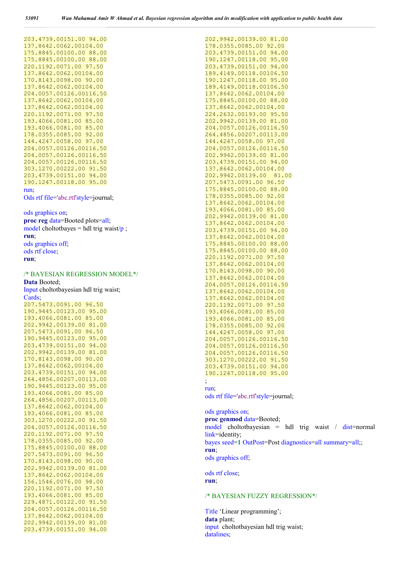| 203.4739.00151.00 94.00              |  |  |  |  |  |  |  |
|--------------------------------------|--|--|--|--|--|--|--|
| 137.8642.0062.00104.00               |  |  |  |  |  |  |  |
| 175.8845.00100.00 88.00              |  |  |  |  |  |  |  |
| 175.8845.00100.00 88.00              |  |  |  |  |  |  |  |
| 220.1192.0071.00 97.50               |  |  |  |  |  |  |  |
| 137.8642.0062.00104.00               |  |  |  |  |  |  |  |
| 170.8143.0098.00 90.00               |  |  |  |  |  |  |  |
| 137.8642.0062.00104.00               |  |  |  |  |  |  |  |
| 204.0057.00126.00116.50              |  |  |  |  |  |  |  |
| 137.8642.0062.00104.00               |  |  |  |  |  |  |  |
| 137.8642.0062.00104.00               |  |  |  |  |  |  |  |
| 220.1192.0071.00 97.50               |  |  |  |  |  |  |  |
| 193.4066.0081.00 85.00               |  |  |  |  |  |  |  |
| 193.4066.0081.00 85.00               |  |  |  |  |  |  |  |
| 178.0355.0085.00 92.00               |  |  |  |  |  |  |  |
| 144.4247.0058.00 97.00               |  |  |  |  |  |  |  |
| 204.0057.00126.00116.50              |  |  |  |  |  |  |  |
| 204.0057.00126.00116.50              |  |  |  |  |  |  |  |
| 204.0057.00126.00116.50              |  |  |  |  |  |  |  |
| 303.1270.00222.00 91.50              |  |  |  |  |  |  |  |
| 203.4739.00151.00 94.00              |  |  |  |  |  |  |  |
| 190.1247.00118.00 95.00              |  |  |  |  |  |  |  |
| run.                                 |  |  |  |  |  |  |  |
| Ods rtf file='abc.rtf'style=journal; |  |  |  |  |  |  |  |
|                                      |  |  |  |  |  |  |  |

#### ods graphics on;

**proc reg** data=Booted plots=all; model choltotbayes = hdl trig waist/ $p$ ; **run**; ods graphics off; ods rtf close; **run**;

# /\* BAYESIAN REGRESSION MODEL\*/

**Data** Booted; Input choltotbayesian hdl trig waist; Cards;

207.5473.0091.00 96.50 190.9445.00123.00 95.00 193.4066.0081.00 85.00 202.9942.00139.00 81.00 207.5473.0091.00 96.50 190.9445.00123.00 95.00 203.4739.00151.00 94.00 202.9942.00139.00 81.00 170.8143.0098.00 90.00 137.8642.0062.00104.00 203.4739.00151.00 94.00 264.4856.00207.00113.00 190.9445.00123.00 95.00 193.4066.0081.00 85.00 264.4856.00207.00113.00 137.8642.0062.00104.00 193.4066.0081.00 85.00 303.1270.00222.00 91.50 204.0057.00126.00116.50 220.1192.0071.00 97.50 178.0355.0085.00 92.00 175.8845.00100.00 88.00 207.5473.0091.00 96.50 170.8143.0098.00 90.00 202.9942.00139.00 81.00 137.8642.0062.00104.00 156.1546.0076.00 98.00 220.1192.0071.00 97.50 193.4066.0081.00 85.00 229.4871.00122.00 91.50 204.0057.00126.00116.50 137.8642.0062.00104.00 202.9942.00139.00 81.00 203.4739.00151.00 94.00 202.9942.00139.00 81.00 178.0355.0085.00 92.00 203.4739.00151.00 94.00 190.1247.00118.00 95.00 203.4739.00151.00 94.00 189.4149.00118.00106.50 190.1247.00118.00 95.00 189.4149.00118.00106.50 137.8642.0062.00104.00 175.8845.00100.00 88.00 137.8642.0062.00104.00 224.2632.00193.00 95.50 202.9942.00139.00 81.00 204.0057.00126.00116.50 264.4856.00207.00113.00 144.4247.0058.00 97.00 204.0057.00126.00116.50 202.9942.00139.00 81.00 203.4739.00151.00 94.00 137.8642.0062.00104.00 202.9942.00139.00 81.00 207.5473.0091.00 96.50 175.8845.00100.00 88.00 178.0355.0085.00 92.00 137.8642.0062.00104.00 193.4066.0081.00 85.00 202.9942.00139.00 81.00 137.8642.0062.00104.00 203.4739.00151.00 94.00 137.8642.0062.00104.00 175.8845.00100.00 88.00 175.8845.00100.00 88.00 220.1192.0071.00 97.50 137.8642.0062.00104.00 170.8143.0098.00 90.00 137.8642.0062.00104.00 204.0057.00126.00116.50 137.8642.0062.00104.00 137.8642.0062.00104.00 220.1192.0071.00 97.50 193.4066.0081.00 85.00 193.4066.0081.00 85.00 178.0355.0085.00 92.00 144.4247.0058.00 97.00 204.0057.00126.00116.50 204.0057.00126.00116.50 204.0057.00126.00116.50 303.1270.00222.00 91.50 203.4739.00151.00 94.00 190.1247.00118.00 95.00

#### ; run;

ods rtf file='abc.rtf'style=journal;

ods graphics on; **proc genmod** data=Booted; model choltotbayesian = hdl trig waist  $/$  dist=normal link=identity; bayes seed=**1** OutPost=Post diagnostics=all summary=all;; **run**; ods graphics off;

ods rtf close; **run**;

### /\* BAYESIAN FUZZY REGRESSION\*/

Title 'Linear programming'; **data** plant; input choltotbayesian hdl trig waist; datalines;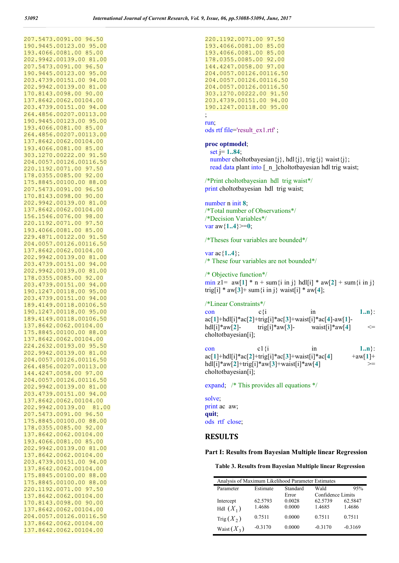207.5473.0091.00 96.50 190.9445.00123.00 95.00 193.4066.0081.00 85.00 202.9942.00139.00 81.00 207.5473.0091.00 96.50 190.9445.00123.00 95.00 203.4739.00151.00 94.00 202.9942.00139.00 81.00 170.8143.0098.00 90.00 137.8642.0062.00104.00 203.4739.00151.00 94.00 264.4856.00207.00113.00 190.9445.00123.00 95.00 193.4066.0081.00 85.00 264.4856.00207.00113.00 137.8642.0062.00104.00 193.4066.0081.00 85.00 303.1270.00222.00 91.50 204.0057.00126.00116.50 220.1192.0071.00 97.50 178.0355.0085.00 92.00 175.8845.00100.00 88.00 207.5473.0091.00 96.50 170.8143.0098.00 90.00 202.9942.00139.00 81.00 137.8642.0062.00104.00 156.1546.0076.00 98.00 220.1192.0071.00 97.50 193.4066.0081.00 85.00 229.4871.00122.00 91.50 204.0057.00126.00116.50 137.8642.0062.00104.00 202.9942.00139.00 81.00 203.4739.00151.00 94.00 202.9942.00139.00 81.00 178.0355.0085.00 92.00 203.4739.00151.00 94.00 190.1247.00118.00 95.00 203.4739.00151.00 94.00 189.4149.00118.00106.50 190.1247.00118.00 95.00 189.4149.00118.00106.50 137.8642.0062.00104.00 175.8845.00100.00 88.00 137.8642.0062.00104.00 224.2632.00193.00 95.50 202.9942.00139.00 81.00 204.0057.00126.00116.50 264.4856.00207.00113.00 144.4247.0058.00 97.00 204.0057.00126.00116.50 202.9942.00139.00 81.00 203.4739.00151.00 94.00 137.8642.0062.00104.00 202.9942.00139.00 81.00 207.5473.0091.00 96.50 175.8845.00100.00 88.00 178.0355.0085.00 92.00 137.8642.0062.00104.00 193.4066.0081.00 85.00 202.9942.00139.00 81.00 137.8642.0062.00104.00 203.4739.00151.00 94.00 137.8642.0062.00104.00 175.8845.00100.00 88.00 175.8845.00100.00 88.00 220.1192.0071.00 97.50 137.8642.0062.00104.00 170.8143.0098.00 90.00 137.8642.0062.00104.00 204.0057.00126.00116.50 137.8642.0062.00104.00 137.8642.0062.00104.00

220.1192.0071.00 97.50 193.4066.0081.00 85.00 193.4066.0081.00 85.00 178.0355.0085.00 92.00 144.4247.0058.00 97.00 204.0057.00126.00116.50 204.0057.00126.00116.50 204.0057.00126.00116.50 303.1270.00222.00 91.50 203.4739.00151.00 94.00 190.1247.00118.00 95.00 ; run;

ods rtf file='result\_ex1.rtf' ;

## **proc optmodel**;

set j= **1..84**;

number choltotbayesian $\{i\}$ , hdl $\{i\}$ , trig $\{i\}$  waist $\{i\}$ ; read data plant into [ n ]choltotbayesian hdl trig waist;

/\*Print choltotbayesian hdl trig waist\*/ print choltotbayesian hdl trig waist;

number n init **8**; /\*Total number of Observations\*/ /\*Decision Variables\*/ var  $\text{aw} \{1..4\}>=0$ ;

/\*Theses four variables are bounded\*/

var ac{**1..4**}; /\* These four variables are not bounded\*/

/\* Objective function\*/ min z1=  $aw[1] * n + sum\{i \in j\}$  hdl[i] \*  $aw[2] + sum\{i \in j\}$ trig[i] \* aw[3]+ sum {i in j } waist[i] \* aw[4];

/\*Linear Constraints\*/ con c $\{i \text{ in } \mathbb{1} \ldots \}$ : ac[**1**]+hdl[i]\*ac[**2**]+trig[i]\*ac[**3**]+waist[i]\*ac[**4**]-aw[**1**] hdl[i]\*aw[2]- trig[i]\*aw[3]- waist[i]\*aw[4]  $\leq$ choltotbayesian[i];

con c1{i in 1..n}:  $ac[1]+hd[1]*ac[2]+trig[i]*ac[3]+waist[i]*ac[4]$   $+aw[1]+$ hdl[i]\*aw[2]+trig[i]\*aw[3]+waist[i]\*aw[4] choltotbayesian[i];

expand; /\* This provides all equations \*/

solve; print ac aw; **quit**; ods rtf close;

### **RESULTS**

#### **Part I: Results from Bayesian Multiple linear Regression**

**Table 3. Results from Bayesian Multiple linear Regression**

|               | Analysis of Maximum Likelihood Parameter Estimates |          |                   |           |  |  |  |
|---------------|----------------------------------------------------|----------|-------------------|-----------|--|--|--|
| Parameter     | Estimate                                           | Standard | Wald              | 95%       |  |  |  |
|               |                                                    | Error    | Confidence Limits |           |  |  |  |
| Intercept     | 62.5793                                            | 0.0028   | 62.5739           | 62.5847   |  |  |  |
| Hdl $(X_1)$   | 1.4686                                             | 0.0000   | 1.4685            | 1.4686    |  |  |  |
| $Trig(X_2)$   | 0.7511                                             | 0.0000   | 0.7511            | 0.7511    |  |  |  |
| Waist $(X_3)$ | $-0.3170$                                          | 0.0000   | $-0.3170$         | $-0.3169$ |  |  |  |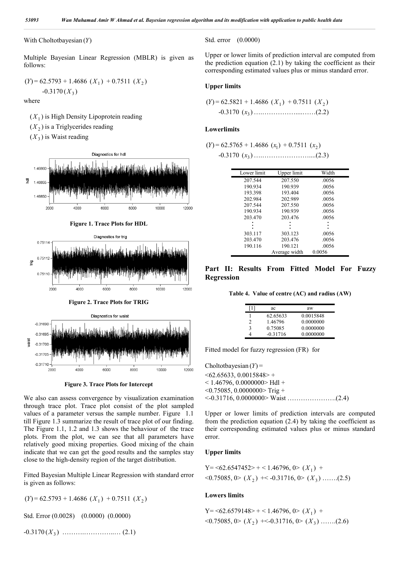#### With Choltotbayesian (*Y*)

Multiple Bayesian Linear Regression (MBLR) is given as follows:

$$
(Y) = 62.5793 + 1.4686 (X1) + 0.7511 (X2)
$$
  
-0.3170(X<sub>3</sub>)

where

 $(X_1)$  is High Density Lipoprotein reading  $(X_2)$  is a Triglycerides reading  $(X_2)$  is Waist reading



**Figure 2. Trace Plots for TRIG**





We also can assess convergence by visualization examination through trace plot. Trace plot consist of the plot sampled values of a parameter versus the sample number. Figure 1.1 till Figure 1.3 summarize the result of trace plot of our finding. The Figure 1.1, 1.2 and 1.3 shows the behaviour of the trace plots. From the plot, we can see that all parameters have relatively good mixing properties. Good mixing of the chain indicate that we can get the good results and the samples stay close to the high-density region of the target distribution.

Fitted Bayesian Multiple Linear Regression with standard error is given as follows:

 $(Y) = 62.5793 + 1.4686 (X_1) + 0.7511 (X_2)$ 

Std. Error (0.0028) (0.0000) (0.0000) -0.3170 ( ) *X*<sup>3</sup> ……….…………..… (2.1) Std. error (0.0000)

Upper or lower limits of prediction interval are computed from the prediction equation  $(2.1)$  by taking the coefficient as their corresponding estimated values plus or minus standard error.

#### **Upper limits**

$$
(Y) = 62.5821 + 1.4686 (X1) + 0.7511 (X2)
$$
  
-0.3170 (x<sub>3</sub>).................(2.2)

#### **Lowerlimits**

$$
(Y) = 62.5765 + 1.4686 (x1) + 0.7511 (x2)
$$

$$
-0.3170 (x_3) \dots (2.3)
$$

| Lower limit | Upper limit   | Width  |
|-------------|---------------|--------|
| 207.544     | 207.550       | .0056  |
| 190.934     | 190.939       | .0056  |
| 193.398     | 193.404       | .0056  |
| 202.984     | 202.989       | .0056  |
| 207.544     | 207.550       | .0056  |
| 190.934     | 190.939       | .0056  |
| 203.470     | 203.476       | .0056  |
|             |               |        |
|             |               |        |
| 303.117     | 303.123       | .0056  |
| 203.470     | 203.476       | .0056  |
| 190.116     | 190.121       | .0056  |
|             | Average width | 0.0056 |

**Part II: Results From Fitted Model For Fuzzy Regression**

**Table 4. Value of centre (AC) and radius (AW)**

| 11 | ac         | aw        |
|----|------------|-----------|
|    | 62.65633   | 0.0015848 |
| 2  | 1.46796    | 0.0000000 |
| ٩  | 0.75085    | 0.0000000 |
|    | $-0.31716$ | 0.0000000 |

Fitted model for fuzzy regression (FR) for

Choltotbayesian (*Y*) =  $\leq 62.65633, 0.0015848$  +  $<$  1.46796, 0.0000000 $>$  Hdl +  $\leq 0.75085$ , 0.0000000>Trig + <-0.31716, 0.0000000> Waist ………………….(2.4)

Upper or lower limits of prediction intervals are computed from the prediction equation (2.4) by taking the coefficient as their corresponding estimated values plus or minus standard error.

## **Upper limits**

Y=
$$
62.6547452
$$
>+ $1.46796$ ,  $0$ >( $X_1$ ) +  
 $<0.75085$ ,  $0$ >( $X_2$ ) + $<0.31716$ ,  $0$ >( $X_3$ ) ......(2.5)

#### **Lowers limits**

Y=
$$
62.6579148>
$$
 +  $1.46796$ ,  $0$  ( $X_1$ ) +  
 $<0.75085$ ,  $0$  ( $X_2$ ) + $<0.31716$ ,  $0$  ( $X_3$ ) .......(2.6)